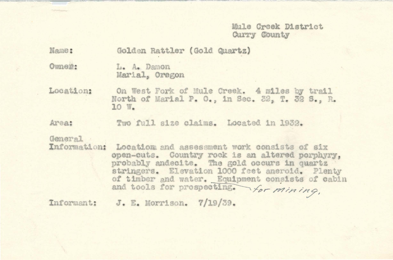Mule Creek District Curry County

Name: Golden Rattler (Gold Quartz) Owner: L. A. Damon Marial, Oregon Location: On West Fork of Mule Creek. 4 miles by trail North of Marial P. O., in Sec. 32, T. 32 S., R.  $10 W$ Area: Two full size claims. Located in 1932. General Information: Location and assessment work consists of six open-cuts. Country rock is an altered porphyry. probably andecite. The gold occurs in quartz stringers. Elevation 1000 feet aneroid. Plenty of timber and water. Equipment consists of cabin and tools for prospecting. for mining,

Informant: J. E. Morrison. 7/19/39.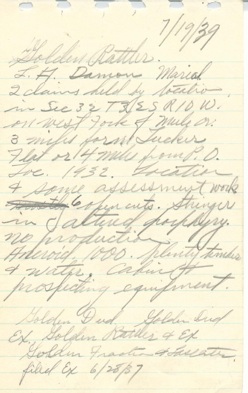Golden Rattler. 7/19/39 J. H. Damon Marial 2 claims held by totalion m Sec 32 T 3 (25 RID, W. on west fork of mule on. 3 miles form Jucker Flat or 14 miles from P. D. Tre. 1932. Treation 4 same assessment work Forth copen cuts. Stringer in Jaltud porphysy. & water, calindt Golden Dud, Golden Did Ex Golden Rattles & Ex Golden Fraction to Gaslate, filial Ex 6/28/37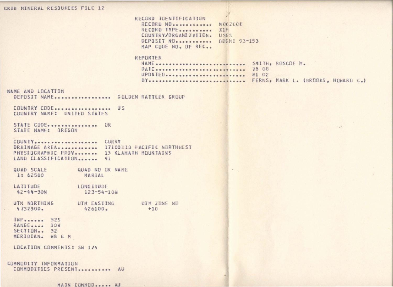## **CRIB MINERAL RESOURCES FILE 12**

RECORD IDENTIFICATION RECORD NO............. MO62008 RECORD TYPE........... X1M COUNTRY/ORGANIZATION. USES DEPOSIT NO. ........... ODGM1 93-153 MAP CODE NO. OF REC..

 $\mathcal{Y}$ 

#### REPORTER

| NAME  SMITH, ROSCOE M.                |  |  |  |
|---------------------------------------|--|--|--|
| DATE  78 08                           |  |  |  |
| UPDATED 81 02                         |  |  |  |
| BY FERNS, MARK L. (BRODKS, HOWARD C.) |  |  |  |

 $\ddot{\bullet}$ 

...

## **NAHE** ANO LOCATION

DEPOSIT NAME.................. GOLDEN RATTLER GROUP

COUNTRY CODE••••••••••••••••• US COUNTRY NAME: UNITED STATES

STATE CODE ................ OR STATE NAME: OREGON

COUKTY ................... . CURRY DRAINAGE AREA............ 17100310 PACIFIC NORTHWEST PHYSIDGRAPHIC PROV....... 13 KLAMATH MOUNTAINS LAND CLASSIFICATION....... 41

QUAD SCALE QUAD NO OR NAME 1: 62500 MARIAL

LATITUDE  $42 - 44 - 30N$ LONGITUDE 123-54-lOW

UTM NORTHING '1132300. UTM EASTING 426100. UIM ZDNE ND  $+10$ 

THP...... 325 RANGE.... 10W SECTION.. 32 MERIDIAN. WB & M

LOCATION COMMENTS: SW 1/4

COHMCOITY INFORMATION COMMODITIES PRESENT........... AU

MAIN COMMOD..... AU